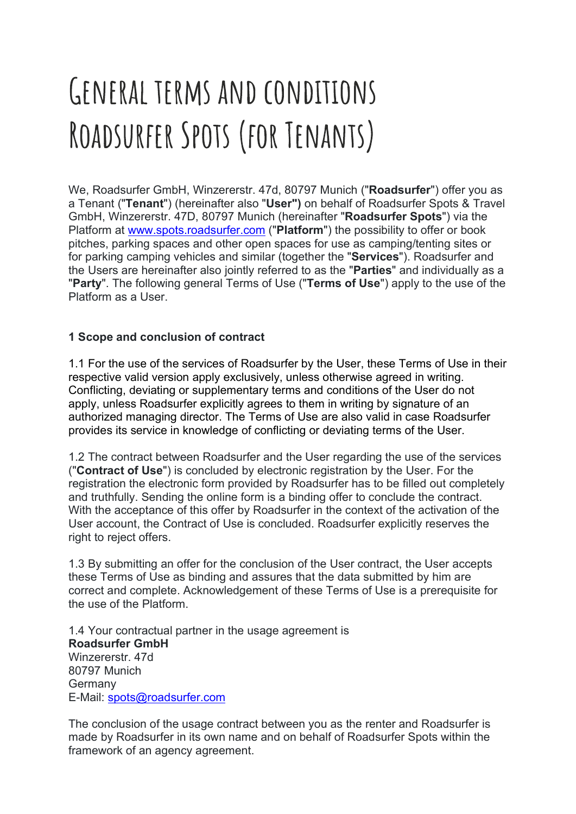# GENERAL TERMS AND CONDITIONS ROADSURFER SPOTS (FOR TENANTS)

We, Roadsurfer GmbH, Winzererstr. 47d, 80797 Munich ("Roadsurfer") offer you as a Tenant ("Tenant") (hereinafter also "User") on behalf of Roadsurfer Spots & Travel GmbH, Winzererstr. 47D, 80797 Munich (hereinafter "Roadsurfer Spots") via the Platform at www.spots.roadsurfer.com ("Platform") the possibility to offer or book pitches, parking spaces and other open spaces for use as camping/tenting sites or for parking camping vehicles and similar (together the "Services"). Roadsurfer and the Users are hereinafter also jointly referred to as the "Parties" and individually as a "Party". The following general Terms of Use ("Terms of Use") apply to the use of the Platform as a User.

## 1 Scope and conclusion of contract

1.1 For the use of the services of Roadsurfer by the User, these Terms of Use in their respective valid version apply exclusively, unless otherwise agreed in writing. Conflicting, deviating or supplementary terms and conditions of the User do not apply, unless Roadsurfer explicitly agrees to them in writing by signature of an authorized managing director. The Terms of Use are also valid in case Roadsurfer provides its service in knowledge of conflicting or deviating terms of the User.

1.2 The contract between Roadsurfer and the User regarding the use of the services ("Contract of Use") is concluded by electronic registration by the User. For the registration the electronic form provided by Roadsurfer has to be filled out completely and truthfully. Sending the online form is a binding offer to conclude the contract. With the acceptance of this offer by Roadsurfer in the context of the activation of the User account, the Contract of Use is concluded. Roadsurfer explicitly reserves the right to reject offers.

1.3 By submitting an offer for the conclusion of the User contract, the User accepts these Terms of Use as binding and assures that the data submitted by him are correct and complete. Acknowledgement of these Terms of Use is a prerequisite for the use of the Platform.

1.4 Your contractual partner in the usage agreement is Roadsurfer GmbH Winzererstr. 47d 80797 Munich **Germany** E-Mail: spots@roadsurfer.com

The conclusion of the usage contract between you as the renter and Roadsurfer is made by Roadsurfer in its own name and on behalf of Roadsurfer Spots within the framework of an agency agreement.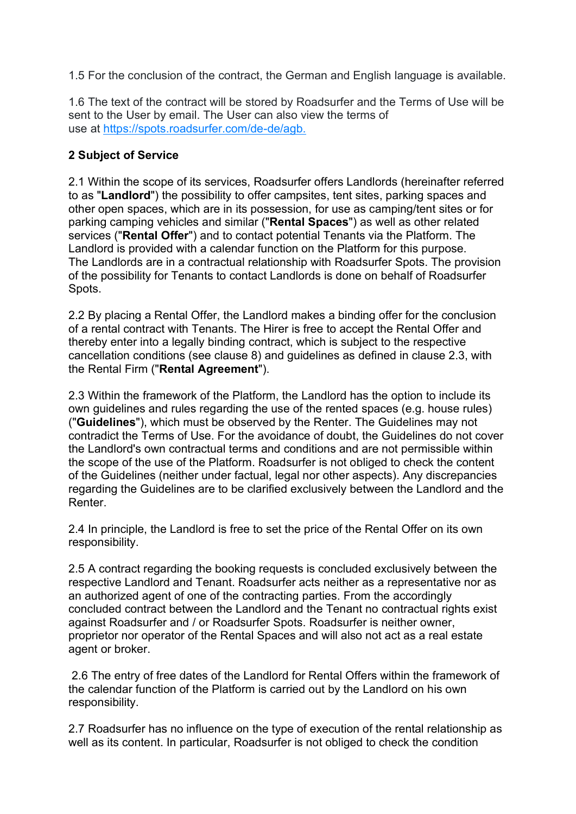1.5 For the conclusion of the contract, the German and English language is available.

1.6 The text of the contract will be stored by Roadsurfer and the Terms of Use will be sent to the User by email. The User can also view the terms of use at https://spots.roadsurfer.com/de-de/agb.

## 2 Subject of Service

2.1 Within the scope of its services, Roadsurfer offers Landlords (hereinafter referred to as "Landlord") the possibility to offer campsites, tent sites, parking spaces and other open spaces, which are in its possession, for use as camping/tent sites or for parking camping vehicles and similar ("Rental Spaces") as well as other related services ("Rental Offer") and to contact potential Tenants via the Platform. The Landlord is provided with a calendar function on the Platform for this purpose. The Landlords are in a contractual relationship with Roadsurfer Spots. The provision of the possibility for Tenants to contact Landlords is done on behalf of Roadsurfer Spots.

2.2 By placing a Rental Offer, the Landlord makes a binding offer for the conclusion of a rental contract with Tenants. The Hirer is free to accept the Rental Offer and thereby enter into a legally binding contract, which is subject to the respective cancellation conditions (see clause 8) and guidelines as defined in clause 2.3, with the Rental Firm ("Rental Agreement").

2.3 Within the framework of the Platform, the Landlord has the option to include its own guidelines and rules regarding the use of the rented spaces (e.g. house rules) ("Guidelines"), which must be observed by the Renter. The Guidelines may not contradict the Terms of Use. For the avoidance of doubt, the Guidelines do not cover the Landlord's own contractual terms and conditions and are not permissible within the scope of the use of the Platform. Roadsurfer is not obliged to check the content of the Guidelines (neither under factual, legal nor other aspects). Any discrepancies regarding the Guidelines are to be clarified exclusively between the Landlord and the Renter.

2.4 In principle, the Landlord is free to set the price of the Rental Offer on its own responsibility.

2.5 A contract regarding the booking requests is concluded exclusively between the respective Landlord and Tenant. Roadsurfer acts neither as a representative nor as an authorized agent of one of the contracting parties. From the accordingly concluded contract between the Landlord and the Tenant no contractual rights exist against Roadsurfer and / or Roadsurfer Spots. Roadsurfer is neither owner, proprietor nor operator of the Rental Spaces and will also not act as a real estate agent or broker.

 2.6 The entry of free dates of the Landlord for Rental Offers within the framework of the calendar function of the Platform is carried out by the Landlord on his own responsibility.

2.7 Roadsurfer has no influence on the type of execution of the rental relationship as well as its content. In particular, Roadsurfer is not obliged to check the condition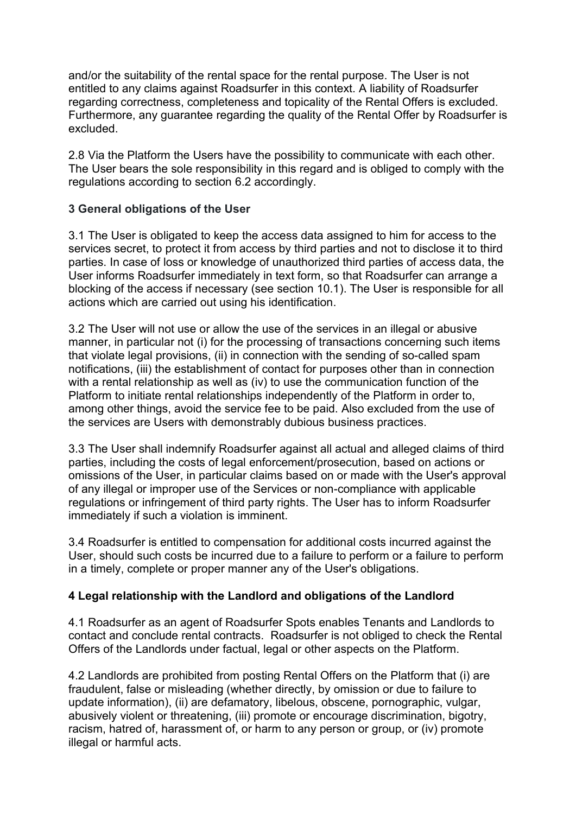and/or the suitability of the rental space for the rental purpose. The User is not entitled to any claims against Roadsurfer in this context. A liability of Roadsurfer regarding correctness, completeness and topicality of the Rental Offers is excluded. Furthermore, any guarantee regarding the quality of the Rental Offer by Roadsurfer is excluded.

2.8 Via the Platform the Users have the possibility to communicate with each other. The User bears the sole responsibility in this regard and is obliged to comply with the regulations according to section 6.2 accordingly.

## 3 General obligations of the User

3.1 The User is obligated to keep the access data assigned to him for access to the services secret, to protect it from access by third parties and not to disclose it to third parties. In case of loss or knowledge of unauthorized third parties of access data, the User informs Roadsurfer immediately in text form, so that Roadsurfer can arrange a blocking of the access if necessary (see section 10.1). The User is responsible for all actions which are carried out using his identification.

3.2 The User will not use or allow the use of the services in an illegal or abusive manner, in particular not (i) for the processing of transactions concerning such items that violate legal provisions, (ii) in connection with the sending of so-called spam notifications, (iii) the establishment of contact for purposes other than in connection with a rental relationship as well as (iv) to use the communication function of the Platform to initiate rental relationships independently of the Platform in order to, among other things, avoid the service fee to be paid. Also excluded from the use of the services are Users with demonstrably dubious business practices.

3.3 The User shall indemnify Roadsurfer against all actual and alleged claims of third parties, including the costs of legal enforcement/prosecution, based on actions or omissions of the User, in particular claims based on or made with the User's approval of any illegal or improper use of the Services or non-compliance with applicable regulations or infringement of third party rights. The User has to inform Roadsurfer immediately if such a violation is imminent.

3.4 Roadsurfer is entitled to compensation for additional costs incurred against the User, should such costs be incurred due to a failure to perform or a failure to perform in a timely, complete or proper manner any of the User's obligations.

## 4 Legal relationship with the Landlord and obligations of the Landlord

4.1 Roadsurfer as an agent of Roadsurfer Spots enables Tenants and Landlords to contact and conclude rental contracts. Roadsurfer is not obliged to check the Rental Offers of the Landlords under factual, legal or other aspects on the Platform.

4.2 Landlords are prohibited from posting Rental Offers on the Platform that (i) are fraudulent, false or misleading (whether directly, by omission or due to failure to update information), (ii) are defamatory, libelous, obscene, pornographic, vulgar, abusively violent or threatening, (iii) promote or encourage discrimination, bigotry, racism, hatred of, harassment of, or harm to any person or group, or (iv) promote illegal or harmful acts.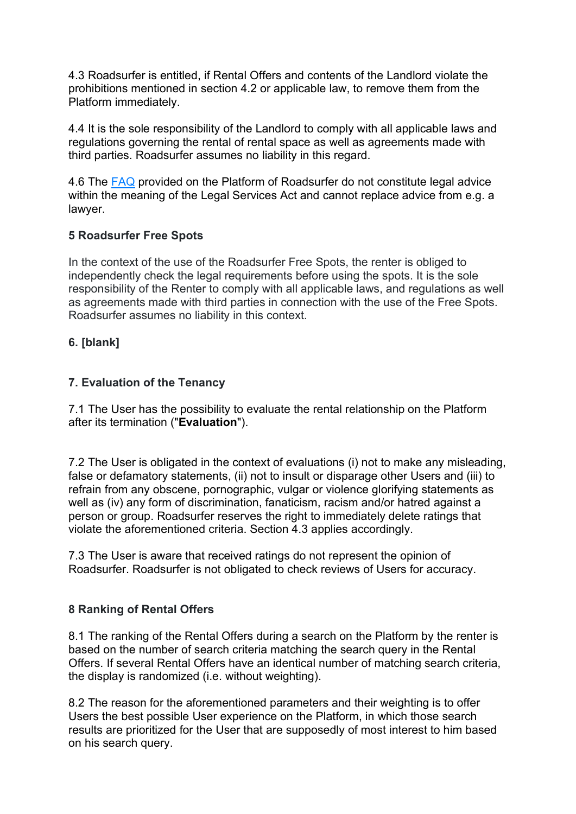4.3 Roadsurfer is entitled, if Rental Offers and contents of the Landlord violate the prohibitions mentioned in section 4.2 or applicable law, to remove them from the Platform immediately.

4.4 It is the sole responsibility of the Landlord to comply with all applicable laws and regulations governing the rental of rental space as well as agreements made with third parties. Roadsurfer assumes no liability in this regard.

4.6 The FAQ provided on the Platform of Roadsurfer do not constitute legal advice within the meaning of the Legal Services Act and cannot replace advice from e.g. a lawyer.

## 5 Roadsurfer Free Spots

In the context of the use of the Roadsurfer Free Spots, the renter is obliged to independently check the legal requirements before using the spots. It is the sole responsibility of the Renter to comply with all applicable laws, and regulations as well as agreements made with third parties in connection with the use of the Free Spots. Roadsurfer assumes no liability in this context.

## 6. [blank]

## 7. Evaluation of the Tenancy

7.1 The User has the possibility to evaluate the rental relationship on the Platform after its termination ("Evaluation").

7.2 The User is obligated in the context of evaluations (i) not to make any misleading, false or defamatory statements, (ii) not to insult or disparage other Users and (iii) to refrain from any obscene, pornographic, vulgar or violence glorifying statements as well as (iv) any form of discrimination, fanaticism, racism and/or hatred against a person or group. Roadsurfer reserves the right to immediately delete ratings that violate the aforementioned criteria. Section 4.3 applies accordingly.

7.3 The User is aware that received ratings do not represent the opinion of Roadsurfer. Roadsurfer is not obligated to check reviews of Users for accuracy.

## 8 Ranking of Rental Offers

8.1 The ranking of the Rental Offers during a search on the Platform by the renter is based on the number of search criteria matching the search query in the Rental Offers. If several Rental Offers have an identical number of matching search criteria, the display is randomized (i.e. without weighting).

8.2 The reason for the aforementioned parameters and their weighting is to offer Users the best possible User experience on the Platform, in which those search results are prioritized for the User that are supposedly of most interest to him based on his search query.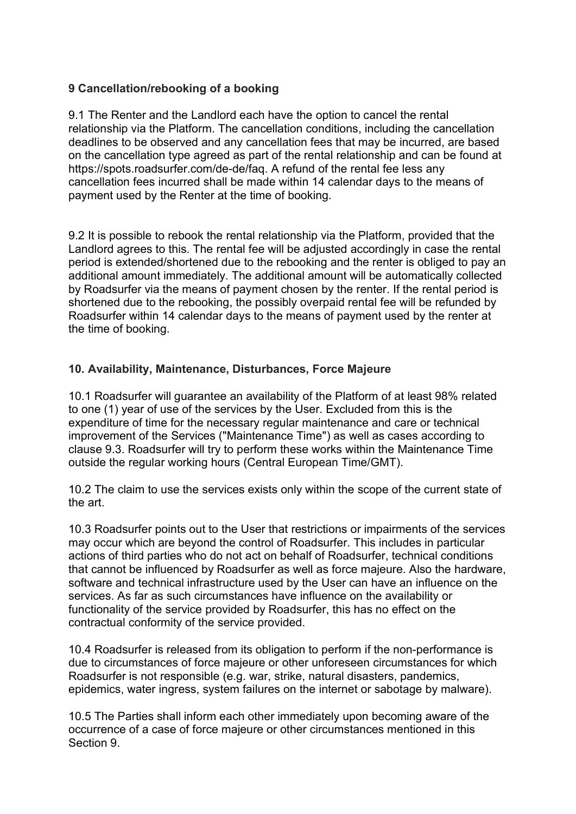## 9 Cancellation/rebooking of a booking

9.1 The Renter and the Landlord each have the option to cancel the rental relationship via the Platform. The cancellation conditions, including the cancellation deadlines to be observed and any cancellation fees that may be incurred, are based on the cancellation type agreed as part of the rental relationship and can be found at https://spots.roadsurfer.com/de-de/faq. A refund of the rental fee less any cancellation fees incurred shall be made within 14 calendar days to the means of payment used by the Renter at the time of booking.

9.2 It is possible to rebook the rental relationship via the Platform, provided that the Landlord agrees to this. The rental fee will be adjusted accordingly in case the rental period is extended/shortened due to the rebooking and the renter is obliged to pay an additional amount immediately. The additional amount will be automatically collected by Roadsurfer via the means of payment chosen by the renter. If the rental period is shortened due to the rebooking, the possibly overpaid rental fee will be refunded by Roadsurfer within 14 calendar days to the means of payment used by the renter at the time of booking.

## 10. Availability, Maintenance, Disturbances, Force Majeure

10.1 Roadsurfer will guarantee an availability of the Platform of at least 98% related to one (1) year of use of the services by the User. Excluded from this is the expenditure of time for the necessary regular maintenance and care or technical improvement of the Services ("Maintenance Time") as well as cases according to clause 9.3. Roadsurfer will try to perform these works within the Maintenance Time outside the regular working hours (Central European Time/GMT).

10.2 The claim to use the services exists only within the scope of the current state of the art.

10.3 Roadsurfer points out to the User that restrictions or impairments of the services may occur which are beyond the control of Roadsurfer. This includes in particular actions of third parties who do not act on behalf of Roadsurfer, technical conditions that cannot be influenced by Roadsurfer as well as force majeure. Also the hardware, software and technical infrastructure used by the User can have an influence on the services. As far as such circumstances have influence on the availability or functionality of the service provided by Roadsurfer, this has no effect on the contractual conformity of the service provided.

10.4 Roadsurfer is released from its obligation to perform if the non-performance is due to circumstances of force majeure or other unforeseen circumstances for which Roadsurfer is not responsible (e.g. war, strike, natural disasters, pandemics, epidemics, water ingress, system failures on the internet or sabotage by malware).

10.5 The Parties shall inform each other immediately upon becoming aware of the occurrence of a case of force majeure or other circumstances mentioned in this Section 9.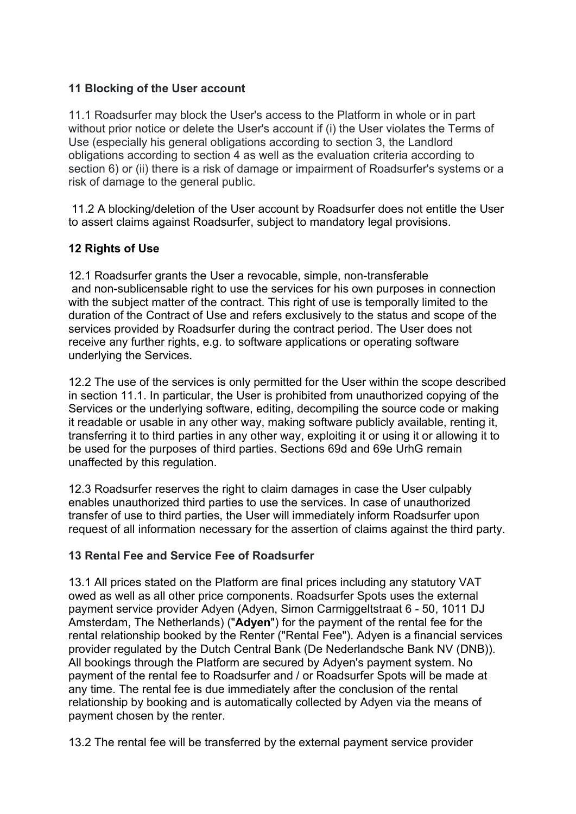## 11 Blocking of the User account

11.1 Roadsurfer may block the User's access to the Platform in whole or in part without prior notice or delete the User's account if (i) the User violates the Terms of Use (especially his general obligations according to section 3, the Landlord obligations according to section 4 as well as the evaluation criteria according to section 6) or (ii) there is a risk of damage or impairment of Roadsurfer's systems or a risk of damage to the general public.

 11.2 A blocking/deletion of the User account by Roadsurfer does not entitle the User to assert claims against Roadsurfer, subject to mandatory legal provisions.

## 12 Rights of Use

12.1 Roadsurfer grants the User a revocable, simple, non-transferable and non-sublicensable right to use the services for his own purposes in connection with the subject matter of the contract. This right of use is temporally limited to the duration of the Contract of Use and refers exclusively to the status and scope of the services provided by Roadsurfer during the contract period. The User does not receive any further rights, e.g. to software applications or operating software underlying the Services.

12.2 The use of the services is only permitted for the User within the scope described in section 11.1. In particular, the User is prohibited from unauthorized copying of the Services or the underlying software, editing, decompiling the source code or making it readable or usable in any other way, making software publicly available, renting it, transferring it to third parties in any other way, exploiting it or using it or allowing it to be used for the purposes of third parties. Sections 69d and 69e UrhG remain unaffected by this regulation.

12.3 Roadsurfer reserves the right to claim damages in case the User culpably enables unauthorized third parties to use the services. In case of unauthorized transfer of use to third parties, the User will immediately inform Roadsurfer upon request of all information necessary for the assertion of claims against the third party.

## 13 Rental Fee and Service Fee of Roadsurfer

13.1 All prices stated on the Platform are final prices including any statutory VAT owed as well as all other price components. Roadsurfer Spots uses the external payment service provider Adyen (Adyen, Simon Carmiggeltstraat 6 - 50, 1011 DJ Amsterdam, The Netherlands) ("Adyen") for the payment of the rental fee for the rental relationship booked by the Renter ("Rental Fee"). Adyen is a financial services provider regulated by the Dutch Central Bank (De Nederlandsche Bank NV (DNB)). All bookings through the Platform are secured by Adyen's payment system. No payment of the rental fee to Roadsurfer and / or Roadsurfer Spots will be made at any time. The rental fee is due immediately after the conclusion of the rental relationship by booking and is automatically collected by Adyen via the means of payment chosen by the renter.

13.2 The rental fee will be transferred by the external payment service provider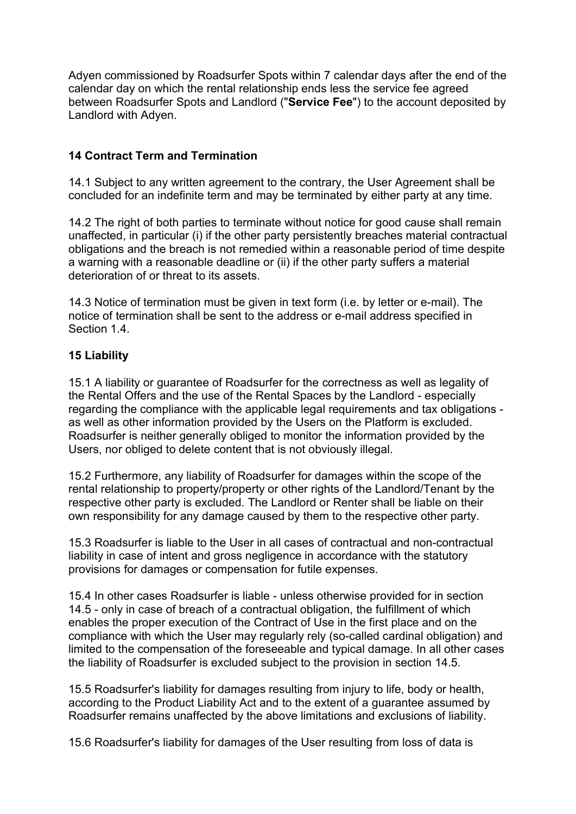Adyen commissioned by Roadsurfer Spots within 7 calendar days after the end of the calendar day on which the rental relationship ends less the service fee agreed between Roadsurfer Spots and Landlord ("Service Fee") to the account deposited by Landlord with Adyen.

## 14 Contract Term and Termination

14.1 Subject to any written agreement to the contrary, the User Agreement shall be concluded for an indefinite term and may be terminated by either party at any time.

14.2 The right of both parties to terminate without notice for good cause shall remain unaffected, in particular (i) if the other party persistently breaches material contractual obligations and the breach is not remedied within a reasonable period of time despite a warning with a reasonable deadline or (ii) if the other party suffers a material deterioration of or threat to its assets.

14.3 Notice of termination must be given in text form (i.e. by letter or e-mail). The notice of termination shall be sent to the address or e-mail address specified in Section 1.4

## 15 Liability

15.1 A liability or guarantee of Roadsurfer for the correctness as well as legality of the Rental Offers and the use of the Rental Spaces by the Landlord - especially regarding the compliance with the applicable legal requirements and tax obligations as well as other information provided by the Users on the Platform is excluded. Roadsurfer is neither generally obliged to monitor the information provided by the Users, nor obliged to delete content that is not obviously illegal.

15.2 Furthermore, any liability of Roadsurfer for damages within the scope of the rental relationship to property/property or other rights of the Landlord/Tenant by the respective other party is excluded. The Landlord or Renter shall be liable on their own responsibility for any damage caused by them to the respective other party.

15.3 Roadsurfer is liable to the User in all cases of contractual and non-contractual liability in case of intent and gross negligence in accordance with the statutory provisions for damages or compensation for futile expenses.

15.4 In other cases Roadsurfer is liable - unless otherwise provided for in section 14.5 - only in case of breach of a contractual obligation, the fulfillment of which enables the proper execution of the Contract of Use in the first place and on the compliance with which the User may regularly rely (so-called cardinal obligation) and limited to the compensation of the foreseeable and typical damage. In all other cases the liability of Roadsurfer is excluded subject to the provision in section 14.5.

15.5 Roadsurfer's liability for damages resulting from injury to life, body or health, according to the Product Liability Act and to the extent of a guarantee assumed by Roadsurfer remains unaffected by the above limitations and exclusions of liability.

15.6 Roadsurfer's liability for damages of the User resulting from loss of data is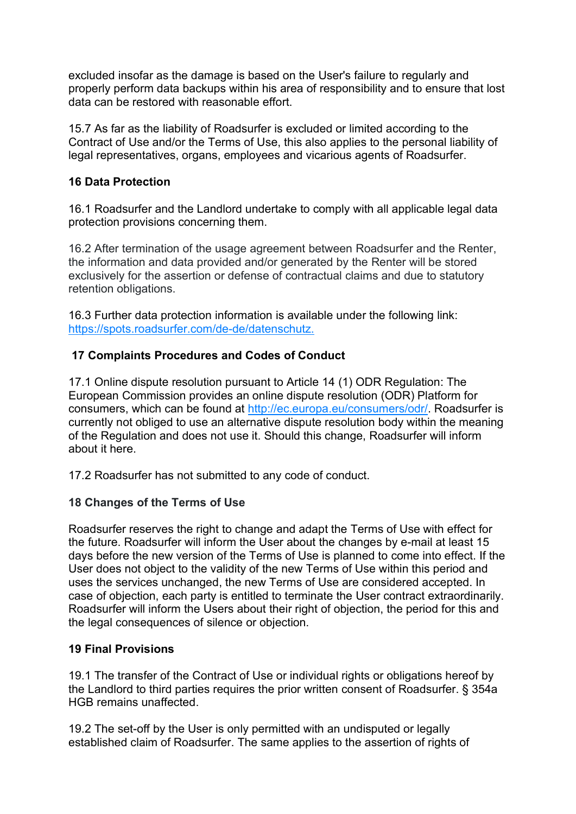excluded insofar as the damage is based on the User's failure to regularly and properly perform data backups within his area of responsibility and to ensure that lost data can be restored with reasonable effort.

15.7 As far as the liability of Roadsurfer is excluded or limited according to the Contract of Use and/or the Terms of Use, this also applies to the personal liability of legal representatives, organs, employees and vicarious agents of Roadsurfer.

## 16 Data Protection

16.1 Roadsurfer and the Landlord undertake to comply with all applicable legal data protection provisions concerning them.

16.2 After termination of the usage agreement between Roadsurfer and the Renter, the information and data provided and/or generated by the Renter will be stored exclusively for the assertion or defense of contractual claims and due to statutory retention obligations.

16.3 Further data protection information is available under the following link: https://spots.roadsurfer.com/de-de/datenschutz.

## 17 Complaints Procedures and Codes of Conduct

17.1 Online dispute resolution pursuant to Article 14 (1) ODR Regulation: The European Commission provides an online dispute resolution (ODR) Platform for consumers, which can be found at http://ec.europa.eu/consumers/odr/. Roadsurfer is currently not obliged to use an alternative dispute resolution body within the meaning of the Regulation and does not use it. Should this change, Roadsurfer will inform about it here.

17.2 Roadsurfer has not submitted to any code of conduct.

## 18 Changes of the Terms of Use

Roadsurfer reserves the right to change and adapt the Terms of Use with effect for the future. Roadsurfer will inform the User about the changes by e-mail at least 15 days before the new version of the Terms of Use is planned to come into effect. If the User does not object to the validity of the new Terms of Use within this period and uses the services unchanged, the new Terms of Use are considered accepted. In case of objection, each party is entitled to terminate the User contract extraordinarily. Roadsurfer will inform the Users about their right of objection, the period for this and the legal consequences of silence or objection.

## 19 Final Provisions

19.1 The transfer of the Contract of Use or individual rights or obligations hereof by the Landlord to third parties requires the prior written consent of Roadsurfer. § 354a HGB remains unaffected.

19.2 The set-off by the User is only permitted with an undisputed or legally established claim of Roadsurfer. The same applies to the assertion of rights of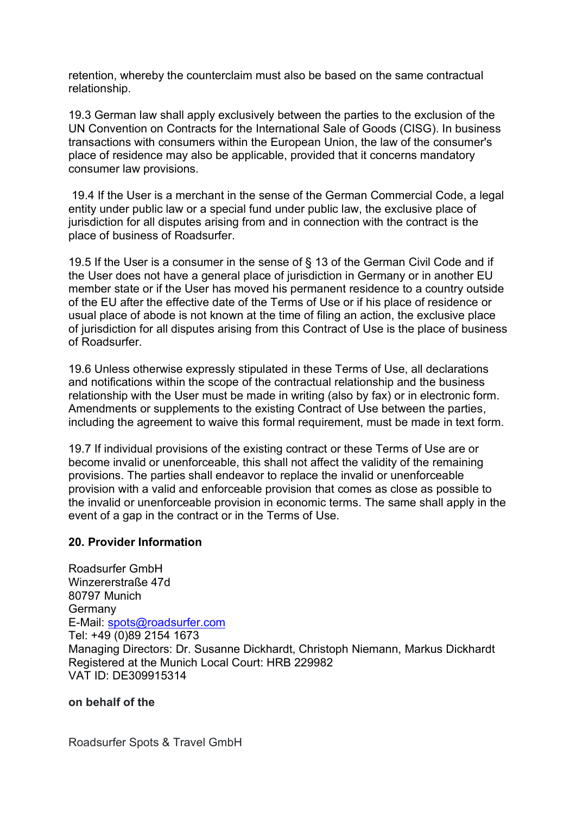retention, whereby the counterclaim must also be based on the same contractual relationship.

19.3 German law shall apply exclusively between the parties to the exclusion of the UN Convention on Contracts for the International Sale of Goods (CISG). In business transactions with consumers within the European Union, the law of the consumer's place of residence may also be applicable, provided that it concerns mandatory consumer law provisions.

 19.4 If the User is a merchant in the sense of the German Commercial Code, a legal entity under public law or a special fund under public law, the exclusive place of jurisdiction for all disputes arising from and in connection with the contract is the place of business of Roadsurfer.

19.5 If the User is a consumer in the sense of § 13 of the German Civil Code and if the User does not have a general place of jurisdiction in Germany or in another EU member state or if the User has moved his permanent residence to a country outside of the EU after the effective date of the Terms of Use or if his place of residence or usual place of abode is not known at the time of filing an action, the exclusive place of jurisdiction for all disputes arising from this Contract of Use is the place of business of Roadsurfer.

19.6 Unless otherwise expressly stipulated in these Terms of Use, all declarations and notifications within the scope of the contractual relationship and the business relationship with the User must be made in writing (also by fax) or in electronic form. Amendments or supplements to the existing Contract of Use between the parties, including the agreement to waive this formal requirement, must be made in text form.

19.7 If individual provisions of the existing contract or these Terms of Use are or become invalid or unenforceable, this shall not affect the validity of the remaining provisions. The parties shall endeavor to replace the invalid or unenforceable provision with a valid and enforceable provision that comes as close as possible to the invalid or unenforceable provision in economic terms. The same shall apply in the event of a gap in the contract or in the Terms of Use.

## 20. Provider Information

Roadsurfer GmbH Winzererstraße 47d 80797 Munich **Germany** E-Mail: spots@roadsurfer.com Tel: +49 (0)89 2154 1673 Managing Directors: Dr. Susanne Dickhardt, Christoph Niemann, Markus Dickhardt Registered at the Munich Local Court: HRB 229982 VAT ID: DE309915314

#### on behalf of the

Roadsurfer Spots & Travel GmbH